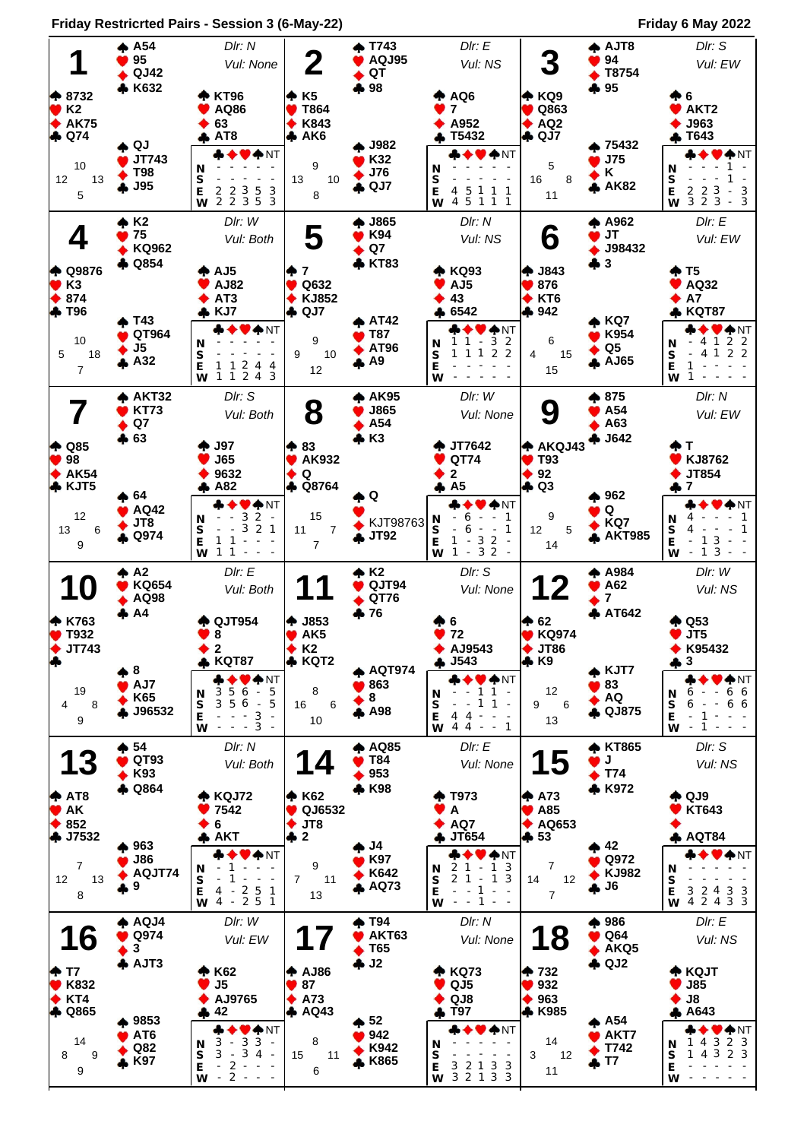**Friday Restricrted Pairs - Session 3 (6-May-22) Friday 6 May 2022**